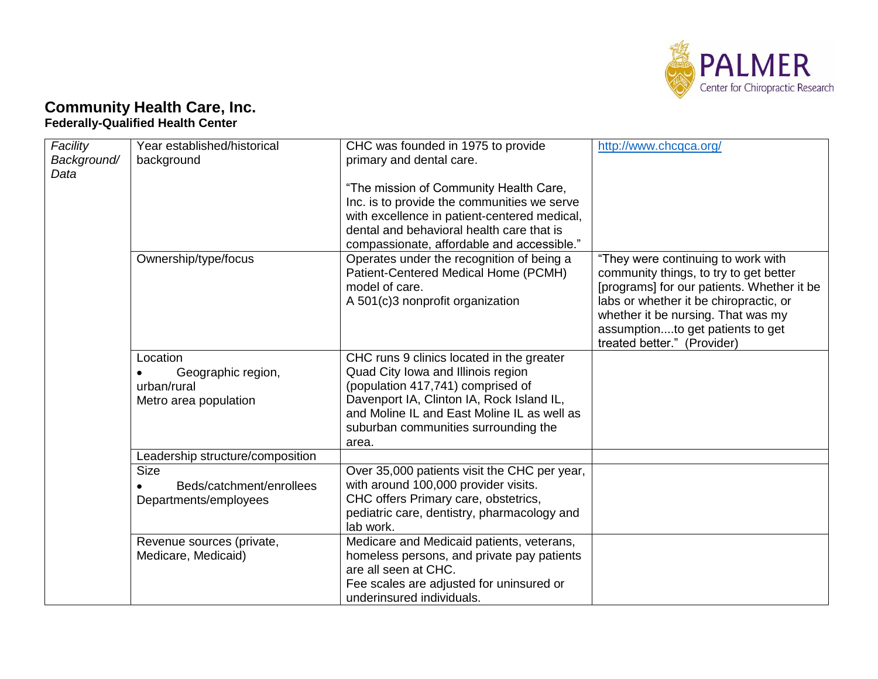

## **Community Health Care, Inc. Federally-Qualified Health Center**

| Facility<br>Background/<br>Data | Year established/historical<br>background                              | CHC was founded in 1975 to provide<br>primary and dental care.<br>"The mission of Community Health Care,<br>Inc. is to provide the communities we serve<br>with excellence in patient-centered medical,<br>dental and behavioral health care that is<br>compassionate, affordable and accessible." | http://www.chcqca.org/                                                                                                                                                                                                                                                        |
|---------------------------------|------------------------------------------------------------------------|----------------------------------------------------------------------------------------------------------------------------------------------------------------------------------------------------------------------------------------------------------------------------------------------------|-------------------------------------------------------------------------------------------------------------------------------------------------------------------------------------------------------------------------------------------------------------------------------|
|                                 | Ownership/type/focus                                                   | Operates under the recognition of being a<br>Patient-Centered Medical Home (PCMH)<br>model of care.<br>A 501(c)3 nonprofit organization                                                                                                                                                            | "They were continuing to work with<br>community things, to try to get better<br>[programs] for our patients. Whether it be<br>labs or whether it be chiropractic, or<br>whether it be nursing. That was my<br>assumptionto get patients to get<br>treated better." (Provider) |
|                                 | Location<br>Geographic region,<br>urban/rural<br>Metro area population | CHC runs 9 clinics located in the greater<br>Quad City Iowa and Illinois region<br>(population 417,741) comprised of<br>Davenport IA, Clinton IA, Rock Island IL,<br>and Moline IL and East Moline IL as well as<br>suburban communities surrounding the<br>area.                                  |                                                                                                                                                                                                                                                                               |
|                                 | Leadership structure/composition<br><b>Size</b>                        | Over 35,000 patients visit the CHC per year,                                                                                                                                                                                                                                                       |                                                                                                                                                                                                                                                                               |
|                                 | Beds/catchment/enrollees<br>Departments/employees                      | with around 100,000 provider visits.<br>CHC offers Primary care, obstetrics,<br>pediatric care, dentistry, pharmacology and<br>lab work.                                                                                                                                                           |                                                                                                                                                                                                                                                                               |
|                                 | Revenue sources (private,<br>Medicare, Medicaid)                       | Medicare and Medicaid patients, veterans,<br>homeless persons, and private pay patients<br>are all seen at CHC.<br>Fee scales are adjusted for uninsured or<br>underinsured individuals.                                                                                                           |                                                                                                                                                                                                                                                                               |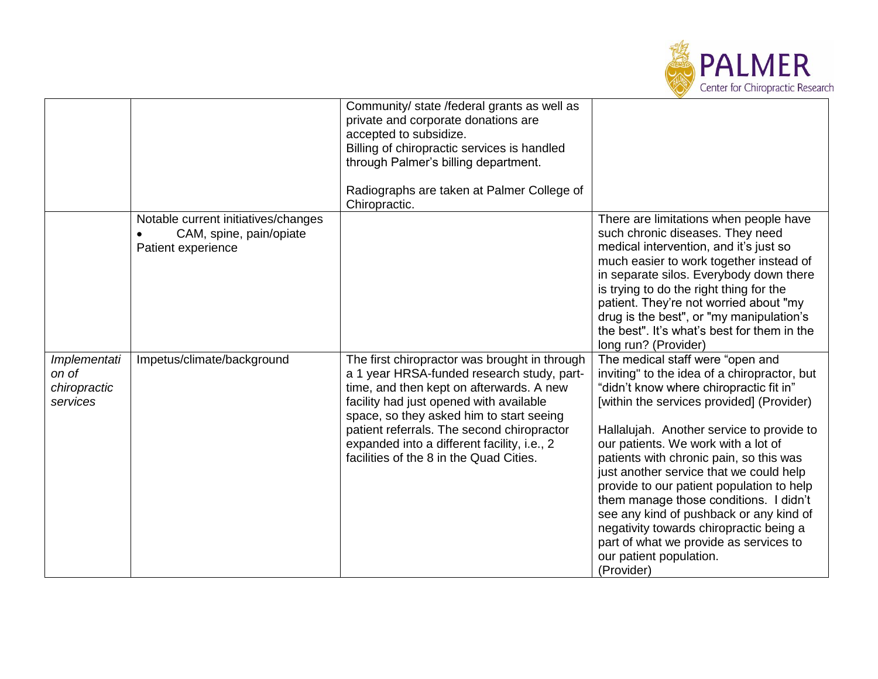

|                                                   |                                                                                      | Community/ state /federal grants as well as<br>private and corporate donations are<br>accepted to subsidize.<br>Billing of chiropractic services is handled<br>through Palmer's billing department.<br>Radiographs are taken at Palmer College of<br>Chiropractic.                                                                                                     |                                                                                                                                                                                                                                                                                                                                                                                                                                                                                                                                                                                                                    |
|---------------------------------------------------|--------------------------------------------------------------------------------------|------------------------------------------------------------------------------------------------------------------------------------------------------------------------------------------------------------------------------------------------------------------------------------------------------------------------------------------------------------------------|--------------------------------------------------------------------------------------------------------------------------------------------------------------------------------------------------------------------------------------------------------------------------------------------------------------------------------------------------------------------------------------------------------------------------------------------------------------------------------------------------------------------------------------------------------------------------------------------------------------------|
|                                                   | Notable current initiatives/changes<br>CAM, spine, pain/opiate<br>Patient experience |                                                                                                                                                                                                                                                                                                                                                                        | There are limitations when people have<br>such chronic diseases. They need<br>medical intervention, and it's just so<br>much easier to work together instead of<br>in separate silos. Everybody down there<br>is trying to do the right thing for the<br>patient. They're not worried about "my<br>drug is the best", or "my manipulation's<br>the best". It's what's best for them in the<br>long run? (Provider)                                                                                                                                                                                                 |
| Implementati<br>on of<br>chiropractic<br>services | Impetus/climate/background                                                           | The first chiropractor was brought in through<br>a 1 year HRSA-funded research study, part-<br>time, and then kept on afterwards. A new<br>facility had just opened with available<br>space, so they asked him to start seeing<br>patient referrals. The second chiropractor<br>expanded into a different facility, i.e., 2<br>facilities of the 8 in the Quad Cities. | The medical staff were "open and<br>inviting" to the idea of a chiropractor, but<br>"didn't know where chiropractic fit in"<br>[within the services provided] (Provider)<br>Hallalujah. Another service to provide to<br>our patients. We work with a lot of<br>patients with chronic pain, so this was<br>just another service that we could help<br>provide to our patient population to help<br>them manage those conditions. I didn't<br>see any kind of pushback or any kind of<br>negativity towards chiropractic being a<br>part of what we provide as services to<br>our patient population.<br>(Provider) |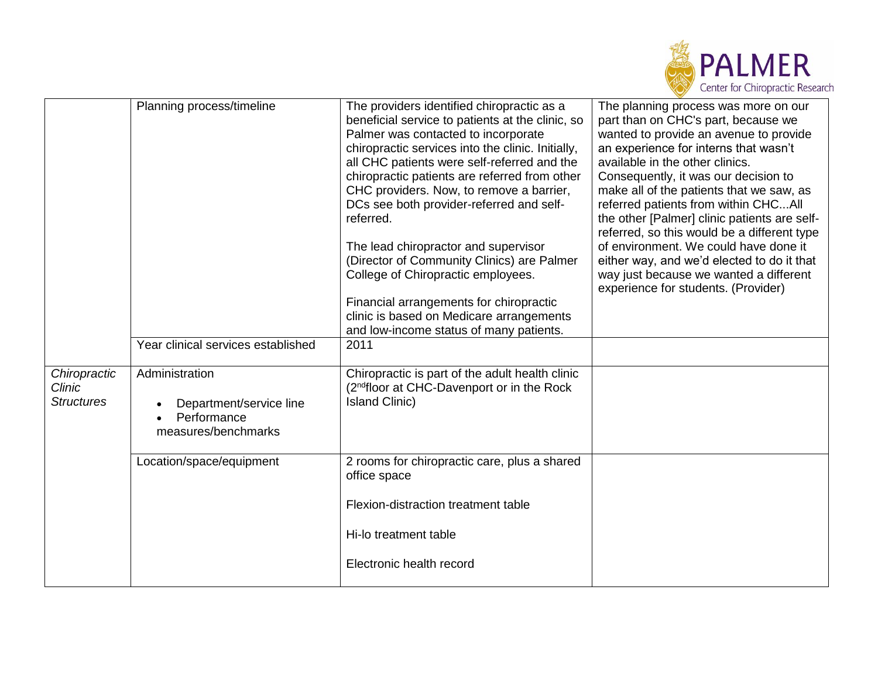

|                                             | Planning process/timeline                                                                                                                         | The providers identified chiropractic as a<br>beneficial service to patients at the clinic, so<br>Palmer was contacted to incorporate<br>chiropractic services into the clinic. Initially,<br>all CHC patients were self-referred and the<br>chiropractic patients are referred from other<br>CHC providers. Now, to remove a barrier,<br>DCs see both provider-referred and self-<br>referred.<br>The lead chiropractor and supervisor<br>(Director of Community Clinics) are Palmer<br>College of Chiropractic employees.<br>Financial arrangements for chiropractic<br>clinic is based on Medicare arrangements<br>and low-income status of many patients. | The planning process was more on our<br>part than on CHC's part, because we<br>wanted to provide an avenue to provide<br>an experience for interns that wasn't<br>available in the other clinics.<br>Consequently, it was our decision to<br>make all of the patients that we saw, as<br>referred patients from within CHCAll<br>the other [Palmer] clinic patients are self-<br>referred, so this would be a different type<br>of environment. We could have done it<br>either way, and we'd elected to do it that<br>way just because we wanted a different<br>experience for students. (Provider) |
|---------------------------------------------|---------------------------------------------------------------------------------------------------------------------------------------------------|---------------------------------------------------------------------------------------------------------------------------------------------------------------------------------------------------------------------------------------------------------------------------------------------------------------------------------------------------------------------------------------------------------------------------------------------------------------------------------------------------------------------------------------------------------------------------------------------------------------------------------------------------------------|------------------------------------------------------------------------------------------------------------------------------------------------------------------------------------------------------------------------------------------------------------------------------------------------------------------------------------------------------------------------------------------------------------------------------------------------------------------------------------------------------------------------------------------------------------------------------------------------------|
| Chiropractic<br>Clinic<br><b>Structures</b> | Year clinical services established<br>Administration<br>Department/service line<br>Performance<br>measures/benchmarks<br>Location/space/equipment | 2011<br>Chiropractic is part of the adult health clinic<br>(2 <sup>nd</sup> floor at CHC-Davenport or in the Rock<br><b>Island Clinic)</b><br>2 rooms for chiropractic care, plus a shared<br>office space<br>Flexion-distraction treatment table<br>Hi-lo treatment table<br>Electronic health record                                                                                                                                                                                                                                                                                                                                                        |                                                                                                                                                                                                                                                                                                                                                                                                                                                                                                                                                                                                      |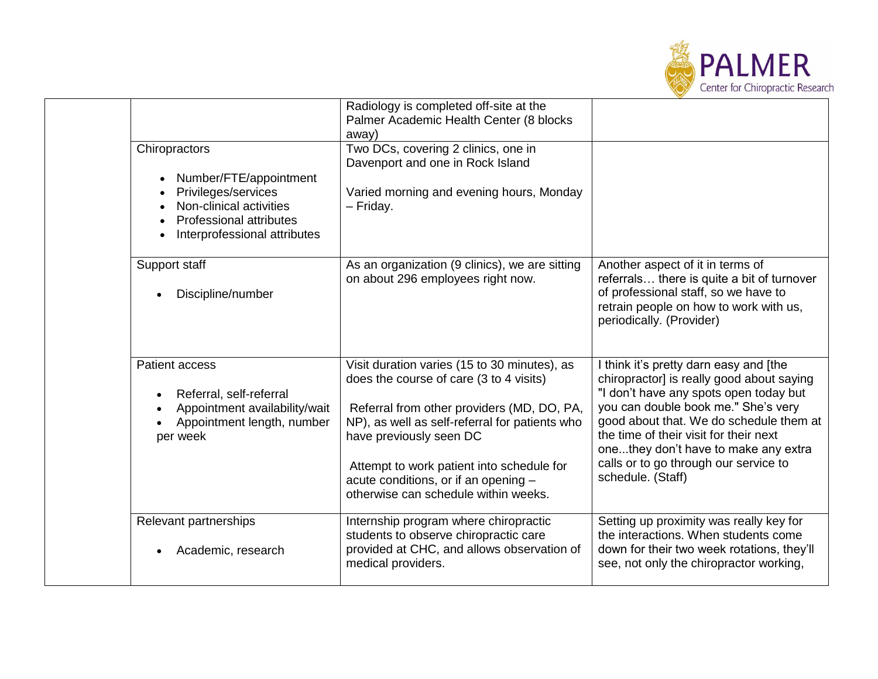

|  | Chiropractors                                                                                                                              | Radiology is completed off-site at the<br>Palmer Academic Health Center (8 blocks<br>away)<br>Two DCs, covering 2 clinics, one in                                                                                                                                                                                                               |                                                                                                                                                                                                                                                                                                                                                                 |
|--|--------------------------------------------------------------------------------------------------------------------------------------------|-------------------------------------------------------------------------------------------------------------------------------------------------------------------------------------------------------------------------------------------------------------------------------------------------------------------------------------------------|-----------------------------------------------------------------------------------------------------------------------------------------------------------------------------------------------------------------------------------------------------------------------------------------------------------------------------------------------------------------|
|  | Number/FTE/appointment<br>Privileges/services<br>Non-clinical activities<br><b>Professional attributes</b><br>Interprofessional attributes | Davenport and one in Rock Island<br>Varied morning and evening hours, Monday<br>- Friday.                                                                                                                                                                                                                                                       |                                                                                                                                                                                                                                                                                                                                                                 |
|  | Support staff<br>Discipline/number                                                                                                         | As an organization (9 clinics), we are sitting<br>on about 296 employees right now.                                                                                                                                                                                                                                                             | Another aspect of it in terms of<br>referrals there is quite a bit of turnover<br>of professional staff, so we have to<br>retrain people on how to work with us,<br>periodically. (Provider)                                                                                                                                                                    |
|  | Patient access<br>Referral, self-referral<br>Appointment availability/wait<br>Appointment length, number<br>per week                       | Visit duration varies (15 to 30 minutes), as<br>does the course of care (3 to 4 visits)<br>Referral from other providers (MD, DO, PA,<br>NP), as well as self-referral for patients who<br>have previously seen DC<br>Attempt to work patient into schedule for<br>acute conditions, or if an opening -<br>otherwise can schedule within weeks. | I think it's pretty darn easy and [the<br>chiropractor] is really good about saying<br>"I don't have any spots open today but<br>you can double book me." She's very<br>good about that. We do schedule them at<br>the time of their visit for their next<br>onethey don't have to make any extra<br>calls or to go through our service to<br>schedule. (Staff) |
|  | Relevant partnerships<br>Academic, research                                                                                                | Internship program where chiropractic<br>students to observe chiropractic care<br>provided at CHC, and allows observation of<br>medical providers.                                                                                                                                                                                              | Setting up proximity was really key for<br>the interactions. When students come<br>down for their two week rotations, they'll<br>see, not only the chiropractor working,                                                                                                                                                                                        |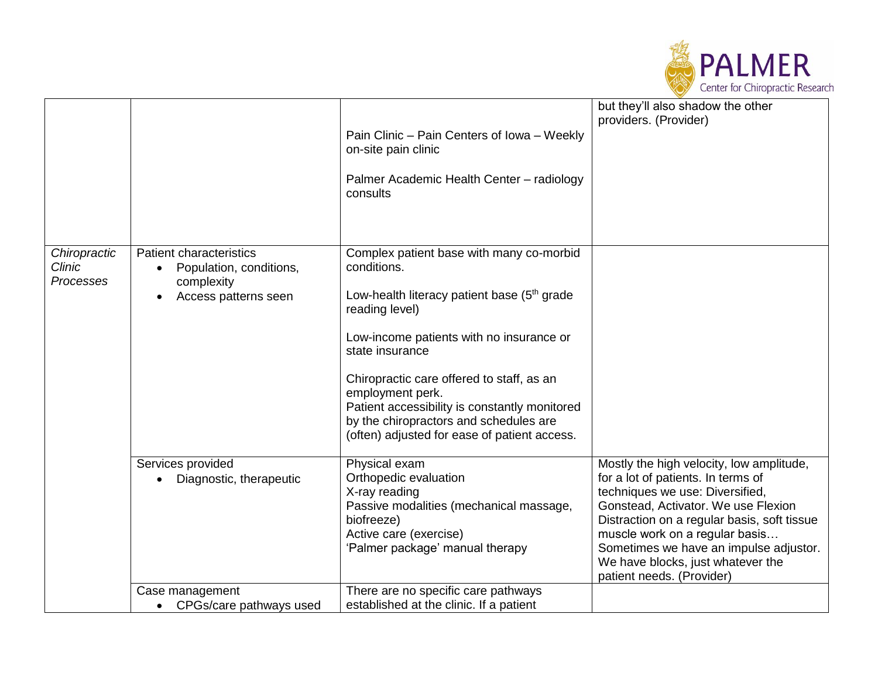

|                                     |                                                                                                 | Pain Clinic - Pain Centers of Iowa - Weekly<br>on-site pain clinic<br>Palmer Academic Health Center - radiology<br>consults                                                                                                                                                                                                                                                                                     | but they'll also shadow the other<br>providers. (Provider)                                                                                                                                                                                                                                                                                            |
|-------------------------------------|-------------------------------------------------------------------------------------------------|-----------------------------------------------------------------------------------------------------------------------------------------------------------------------------------------------------------------------------------------------------------------------------------------------------------------------------------------------------------------------------------------------------------------|-------------------------------------------------------------------------------------------------------------------------------------------------------------------------------------------------------------------------------------------------------------------------------------------------------------------------------------------------------|
| Chiropractic<br>Clinic<br>Processes | <b>Patient characteristics</b><br>Population, conditions,<br>complexity<br>Access patterns seen | Complex patient base with many co-morbid<br>conditions.<br>Low-health literacy patient base (5 <sup>th</sup> grade<br>reading level)<br>Low-income patients with no insurance or<br>state insurance<br>Chiropractic care offered to staff, as an<br>employment perk.<br>Patient accessibility is constantly monitored<br>by the chiropractors and schedules are<br>(often) adjusted for ease of patient access. |                                                                                                                                                                                                                                                                                                                                                       |
|                                     | Services provided<br>Diagnostic, therapeutic                                                    | Physical exam<br>Orthopedic evaluation<br>X-ray reading<br>Passive modalities (mechanical massage,<br>biofreeze)<br>Active care (exercise)<br>'Palmer package' manual therapy                                                                                                                                                                                                                                   | Mostly the high velocity, low amplitude,<br>for a lot of patients. In terms of<br>techniques we use: Diversified,<br>Gonstead, Activator. We use Flexion<br>Distraction on a regular basis, soft tissue<br>muscle work on a regular basis<br>Sometimes we have an impulse adjustor.<br>We have blocks, just whatever the<br>patient needs. (Provider) |
|                                     | Case management<br>CPGs/care pathways used<br>$\bullet$                                         | There are no specific care pathways<br>established at the clinic. If a patient                                                                                                                                                                                                                                                                                                                                  |                                                                                                                                                                                                                                                                                                                                                       |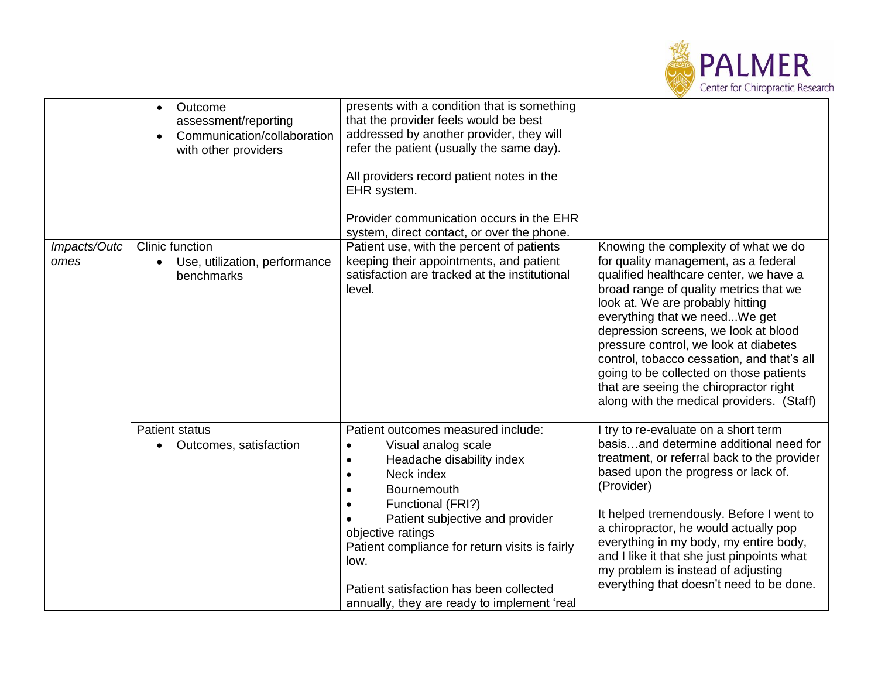

|                      | Outcome<br>$\bullet$<br>assessment/reporting<br>Communication/collaboration<br>with other providers | presents with a condition that is something<br>that the provider feels would be best<br>addressed by another provider, they will<br>refer the patient (usually the same day).<br>All providers record patient notes in the<br>EHR system.<br>Provider communication occurs in the EHR<br>system, direct contact, or over the phone.                               |                                                                                                                                                                                                                                                                                                                                                                                                                                                                                                        |
|----------------------|-----------------------------------------------------------------------------------------------------|-------------------------------------------------------------------------------------------------------------------------------------------------------------------------------------------------------------------------------------------------------------------------------------------------------------------------------------------------------------------|--------------------------------------------------------------------------------------------------------------------------------------------------------------------------------------------------------------------------------------------------------------------------------------------------------------------------------------------------------------------------------------------------------------------------------------------------------------------------------------------------------|
| Impacts/Outc<br>omes | Clinic function<br>Use, utilization, performance<br>$\bullet$<br>benchmarks                         | Patient use, with the percent of patients<br>keeping their appointments, and patient<br>satisfaction are tracked at the institutional<br>level.                                                                                                                                                                                                                   | Knowing the complexity of what we do<br>for quality management, as a federal<br>qualified healthcare center, we have a<br>broad range of quality metrics that we<br>look at. We are probably hitting<br>everything that we needWe get<br>depression screens, we look at blood<br>pressure control, we look at diabetes<br>control, tobacco cessation, and that's all<br>going to be collected on those patients<br>that are seeing the chiropractor right<br>along with the medical providers. (Staff) |
|                      | <b>Patient status</b><br>Outcomes, satisfaction<br>$\bullet$                                        | Patient outcomes measured include:<br>Visual analog scale<br>$\bullet$<br>Headache disability index<br>Neck index<br>Bournemouth<br>Functional (FRI?)<br>Patient subjective and provider<br>objective ratings<br>Patient compliance for return visits is fairly<br>low.<br>Patient satisfaction has been collected<br>annually, they are ready to implement 'real | I try to re-evaluate on a short term<br>basisand determine additional need for<br>treatment, or referral back to the provider<br>based upon the progress or lack of.<br>(Provider)<br>It helped tremendously. Before I went to<br>a chiropractor, he would actually pop<br>everything in my body, my entire body,<br>and I like it that she just pinpoints what<br>my problem is instead of adjusting<br>everything that doesn't need to be done.                                                      |